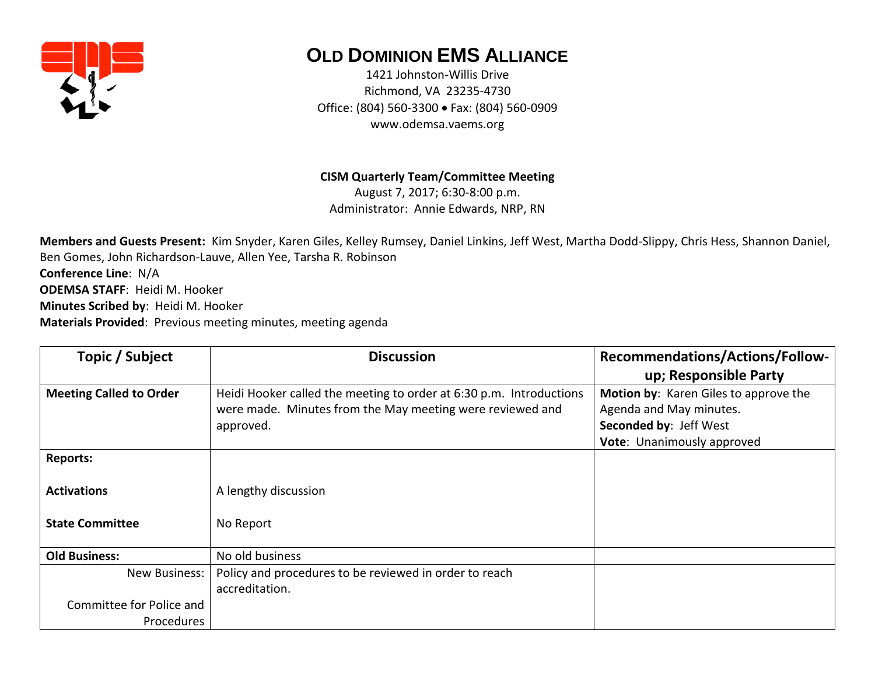

## **OLD DOMINION EMS ALLIANCE**

1421 Johnston-Willis Drive Richmond, VA 23235-4730 Office: (804) 560-3300 • Fax: (804) 560-0909 www.odemsa.vaems.org

## **CISM Quarterly Team/Committee Meeting**

August 7, 2017; 6:30-8:00 p.m. Administrator: Annie Edwards, NRP, RN

**Members and Guests Present:** Kim Snyder, Karen Giles, Kelley Rumsey, Daniel Linkins, Jeff West, Martha Dodd-Slippy, Chris Hess, Shannon Daniel, Ben Gomes, John Richardson-Lauve, Allen Yee, Tarsha R. Robinson **Conference Line**: N/A **ODEMSA STAFF**: Heidi M. Hooker **Minutes Scribed by**: Heidi M. Hooker **Materials Provided**: Previous meeting minutes, meeting agenda

| Topic / Subject                | <b>Discussion</b>                                                   | <b>Recommendations/Actions/Follow-</b> |
|--------------------------------|---------------------------------------------------------------------|----------------------------------------|
|                                |                                                                     | up; Responsible Party                  |
| <b>Meeting Called to Order</b> | Heidi Hooker called the meeting to order at 6:30 p.m. Introductions | Motion by: Karen Giles to approve the  |
|                                | were made. Minutes from the May meeting were reviewed and           | Agenda and May minutes.                |
|                                | approved.                                                           | Seconded by: Jeff West                 |
|                                |                                                                     | Vote: Unanimously approved             |
| <b>Reports:</b>                |                                                                     |                                        |
| <b>Activations</b>             | A lengthy discussion                                                |                                        |
| <b>State Committee</b>         | No Report                                                           |                                        |
| <b>Old Business:</b>           | No old business                                                     |                                        |
| <b>New Business:</b>           | Policy and procedures to be reviewed in order to reach              |                                        |
|                                | accreditation.                                                      |                                        |
| Committee for Police and       |                                                                     |                                        |
| Procedures                     |                                                                     |                                        |